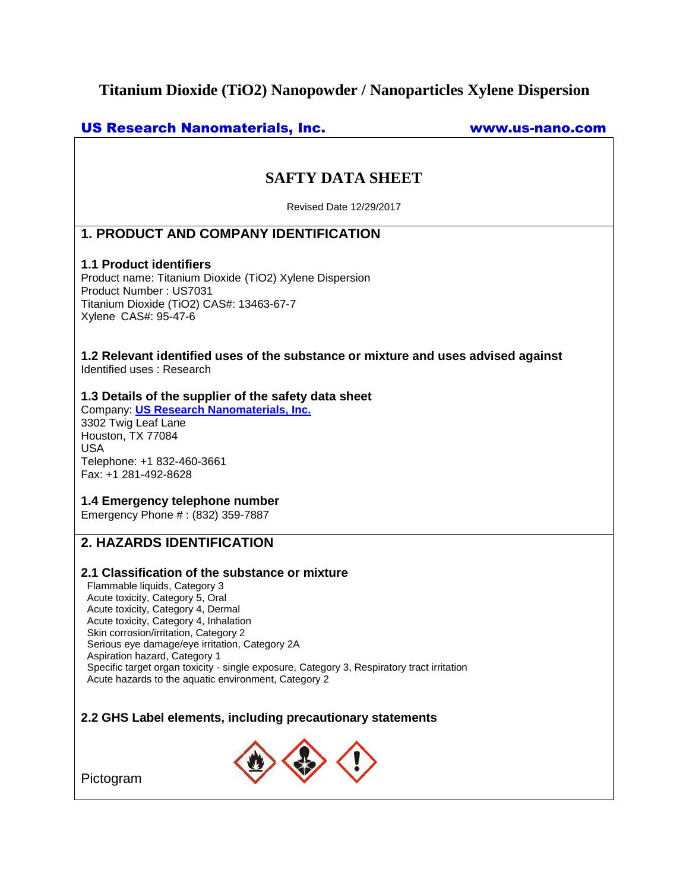# **Titanium Dioxide (TiO2) Nanopowder / Nanoparticles Xylene Dispersion**

### US Research Nanomaterials, Inc. www.us-nano.com

# **SAFTY DATA SHEET**

Revised Date 12/29/2017

# **1. PRODUCT AND COMPANY IDENTIFICATION**

### **1.1 Product identifiers**

Product name: Titanium Dioxide (TiO2) Xylene Dispersion Product Number : US7031 Titanium Dioxide (TiO2) CAS#: 13463-67-7 Xylene CAS#: 95-47-6

**1.2 Relevant identified uses of the substance or mixture and uses advised against** Identified uses : Research

### **1.3 Details of the supplier of the safety data sheet**

Company: **[US Research Nanomaterials, Inc.](http://www.us-nano.com/)** 3302 Twig Leaf Lane Houston, TX 77084 USA Telephone: +1 832-460-3661 Fax: +1 281-492-8628

### **1.4 Emergency telephone number**

Emergency Phone # : (832) 359-7887

# **2. HAZARDS IDENTIFICATION**

### **2.1 Classification of the substance or mixture**

Flammable liquids, Category 3 Acute toxicity, Category 5, Oral Acute toxicity, Category 4, Dermal Acute toxicity, Category 4, Inhalation Skin corrosion/irritation, Category 2 Serious eye damage/eye irritation, Category 2A Aspiration hazard, Category 1 Specific target organ toxicity - single exposure, Category 3, Respiratory tract irritation Acute hazards to the aquatic environment, Category 2

### **2.2 GHS Label elements, including precautionary statements**



Pictogram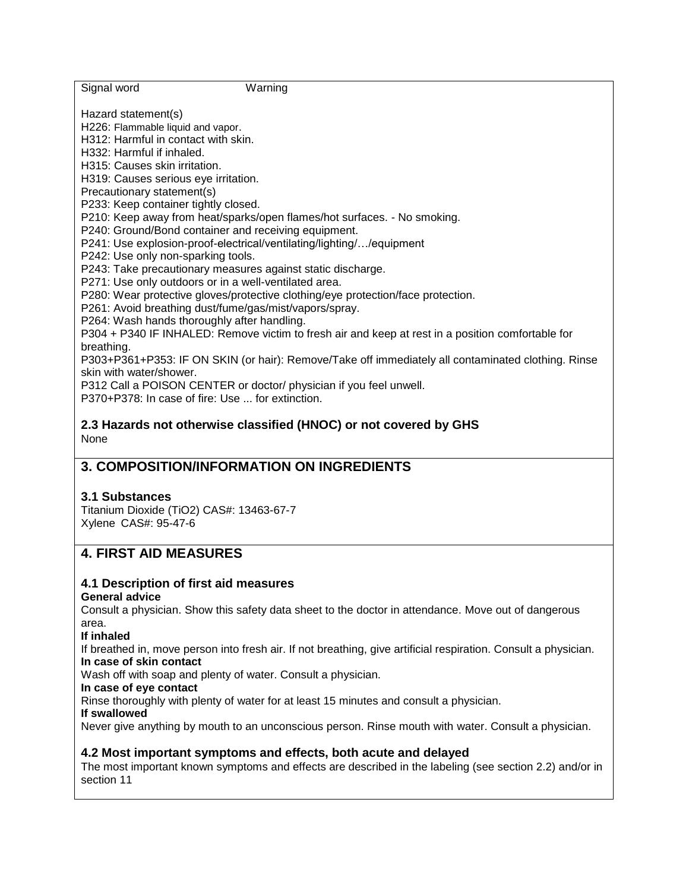| Signal word<br>Warning                                                                             |
|----------------------------------------------------------------------------------------------------|
| Hazard statement(s)                                                                                |
| H226: Flammable liquid and vapor.                                                                  |
| H312: Harmful in contact with skin.                                                                |
| H332: Harmful if inhaled.                                                                          |
| H315: Causes skin irritation.                                                                      |
| H319: Causes serious eye irritation.                                                               |
| Precautionary statement(s)                                                                         |
| P233: Keep container tightly closed.                                                               |
| P210: Keep away from heat/sparks/open flames/hot surfaces. - No smoking.                           |
| P240: Ground/Bond container and receiving equipment.                                               |
| P241: Use explosion-proof-electrical/ventilating/lighting//equipment                               |
| P242: Use only non-sparking tools.                                                                 |
| P243: Take precautionary measures against static discharge.                                        |
| P271: Use only outdoors or in a well-ventilated area.                                              |
| P280: Wear protective gloves/protective clothing/eye protection/face protection.                   |
| P261: Avoid breathing dust/fume/gas/mist/vapors/spray.                                             |
| P264: Wash hands thoroughly after handling.                                                        |
| P304 + P340 IF INHALED: Remove victim to fresh air and keep at rest in a position comfortable for  |
| breathing.                                                                                         |
| P303+P361+P353: IF ON SKIN (or hair): Remove/Take off immediately all contaminated clothing. Rinse |
| skin with water/shower.                                                                            |
| P312 Call a POISON CENTER or doctor/ physician if you feel unwell.                                 |
| P370+P378; In case of fire: Use  for extinction.                                                   |
| 2.3 Hazards not otherwise classified (HNOC) or not covered by GHS                                  |
| None                                                                                               |
| 2. COMBOSITION/INFORMATION ON INCREDIENTS                                                          |

# **3. COMPOSITION/INFORMATION ON INGREDIENTS**

### **3.1 Substances**

Titanium Dioxide (TiO2) CAS#: 13463-67-7 Xylene CAS#: 95-47-6

# **4. FIRST AID MEASURES**

# **4.1 Description of first aid measures**

### **General advice**

Consult a physician. Show this safety data sheet to the doctor in attendance. Move out of dangerous area.

### **If inhaled**

If breathed in, move person into fresh air. If not breathing, give artificial respiration. Consult a physician. **In case of skin contact**

Wash off with soap and plenty of water. Consult a physician.

### **In case of eye contact**

Rinse thoroughly with plenty of water for at least 15 minutes and consult a physician.

**If swallowed**

Never give anything by mouth to an unconscious person. Rinse mouth with water. Consult a physician.

### **4.2 Most important symptoms and effects, both acute and delayed**

The most important known symptoms and effects are described in the labeling (see section 2.2) and/or in section 11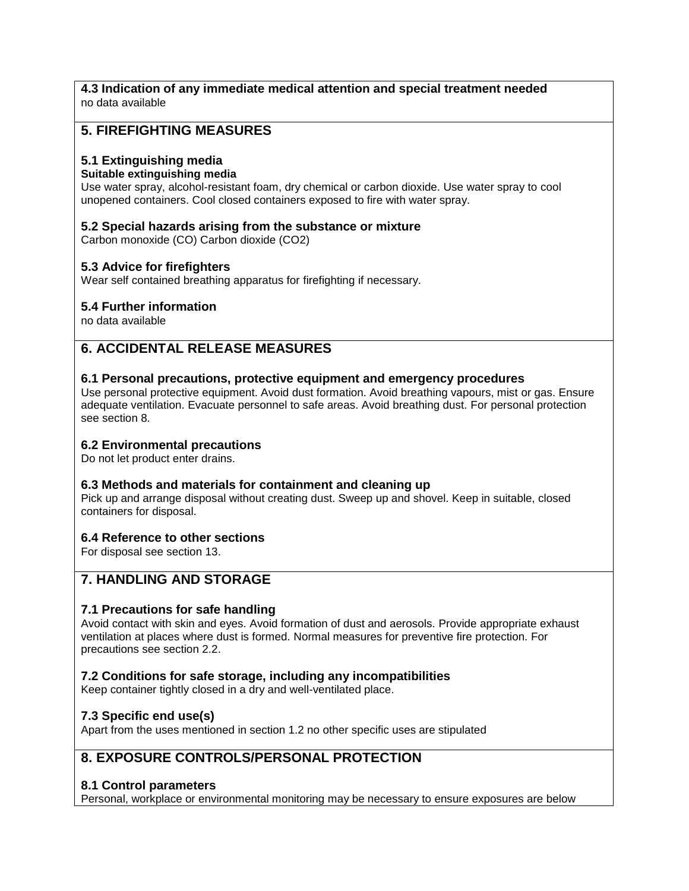# **4.3 Indication of any immediate medical attention and special treatment needed**

no data available

# **5. FIREFIGHTING MEASURES**

### **5.1 Extinguishing media**

### **Suitable extinguishing media**

Use water spray, alcohol-resistant foam, dry chemical or carbon dioxide. Use water spray to cool unopened containers. Cool closed containers exposed to fire with water spray.

### **5.2 Special hazards arising from the substance or mixture**

Carbon monoxide (CO) Carbon dioxide (CO2)

### **5.3 Advice for firefighters**

Wear self contained breathing apparatus for firefighting if necessary.

### **5.4 Further information**

no data available

# **6. ACCIDENTAL RELEASE MEASURES**

### **6.1 Personal precautions, protective equipment and emergency procedures**

Use personal protective equipment. Avoid dust formation. Avoid breathing vapours, mist or gas. Ensure adequate ventilation. Evacuate personnel to safe areas. Avoid breathing dust. For personal protection see section 8.

### **6.2 Environmental precautions**

Do not let product enter drains.

### **6.3 Methods and materials for containment and cleaning up**

Pick up and arrange disposal without creating dust. Sweep up and shovel. Keep in suitable, closed containers for disposal.

### **6.4 Reference to other sections**

For disposal see section 13.

# **7. HANDLING AND STORAGE**

### **7.1 Precautions for safe handling**

Avoid contact with skin and eyes. Avoid formation of dust and aerosols. Provide appropriate exhaust ventilation at places where dust is formed. Normal measures for preventive fire protection. For precautions see section 2.2.

### **7.2 Conditions for safe storage, including any incompatibilities**

Keep container tightly closed in a dry and well-ventilated place.

### **7.3 Specific end use(s)**

Apart from the uses mentioned in section 1.2 no other specific uses are stipulated

# **8. EXPOSURE CONTROLS/PERSONAL PROTECTION**

# **8.1 Control parameters**

Personal, workplace or environmental monitoring may be necessary to ensure exposures are below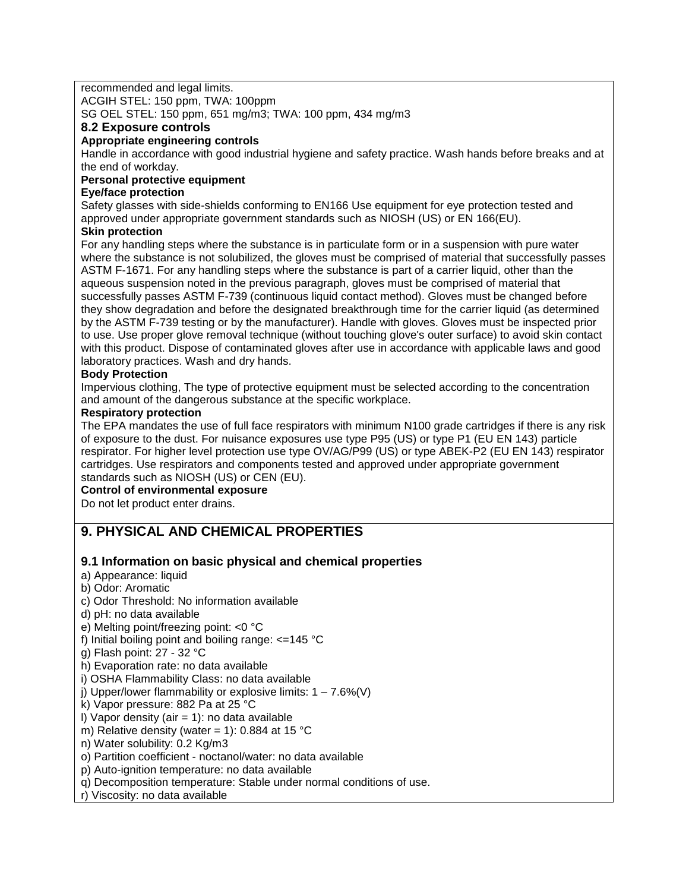recommended and legal limits.

ACGIH STEL: 150 ppm, TWA: 100ppm

SG OEL STEL: 150 ppm, 651 mg/m3; TWA: 100 ppm, 434 mg/m3

### **8.2 Exposure controls**

### **Appropriate engineering controls**

Handle in accordance with good industrial hygiene and safety practice. Wash hands before breaks and at the end of workday.

### **Personal protective equipment**

### **Eye/face protection**

Safety glasses with side-shields conforming to EN166 Use equipment for eye protection tested and approved under appropriate government standards such as NIOSH (US) or EN 166(EU).

### **Skin protection**

For any handling steps where the substance is in particulate form or in a suspension with pure water where the substance is not solubilized, the gloves must be comprised of material that successfully passes ASTM F-1671. For any handling steps where the substance is part of a carrier liquid, other than the aqueous suspension noted in the previous paragraph, gloves must be comprised of material that successfully passes ASTM F-739 (continuous liquid contact method). Gloves must be changed before they show degradation and before the designated breakthrough time for the carrier liquid (as determined by the ASTM F-739 testing or by the manufacturer). Handle with gloves. Gloves must be inspected prior to use. Use proper glove removal technique (without touching glove's outer surface) to avoid skin contact with this product. Dispose of contaminated gloves after use in accordance with applicable laws and good laboratory practices. Wash and dry hands.

### **Body Protection**

Impervious clothing, The type of protective equipment must be selected according to the concentration and amount of the dangerous substance at the specific workplace.

### **Respiratory protection**

The EPA mandates the use of full face respirators with minimum N100 grade cartridges if there is any risk of exposure to the dust. For nuisance exposures use type P95 (US) or type P1 (EU EN 143) particle respirator. For higher level protection use type OV/AG/P99 (US) or type ABEK-P2 (EU EN 143) respirator cartridges. Use respirators and components tested and approved under appropriate government standards such as NIOSH (US) or CEN (EU).

### **Control of environmental exposure**

Do not let product enter drains.

# **9. PHYSICAL AND CHEMICAL PROPERTIES**

### **9.1 Information on basic physical and chemical properties**

- a) Appearance: liquid
- b) Odor: Aromatic
- c) Odor Threshold: No information available
- d) pH: no data available
- e) Melting point/freezing point: <0 °C
- f) Initial boiling point and boiling range:  $\leq$ =145 °C
- g) Flash point: 27 32 °C
- h) Evaporation rate: no data available
- i) OSHA Flammability Class: no data available
- j) Upper/lower flammability or explosive limits:  $1 7.6\%(V)$
- k) Vapor pressure: 882 Pa at 25 °C
- I) Vapor density (air  $= 1$ ): no data available
- m) Relative density (water = 1): 0.884 at 15  $^{\circ}$ C
- n) Water solubility: 0.2 Kg/m3
- o) Partition coefficient noctanol/water: no data available
- p) Auto-ignition temperature: no data available
- q) Decomposition temperature: Stable under normal conditions of use.
- r) Viscosity: no data available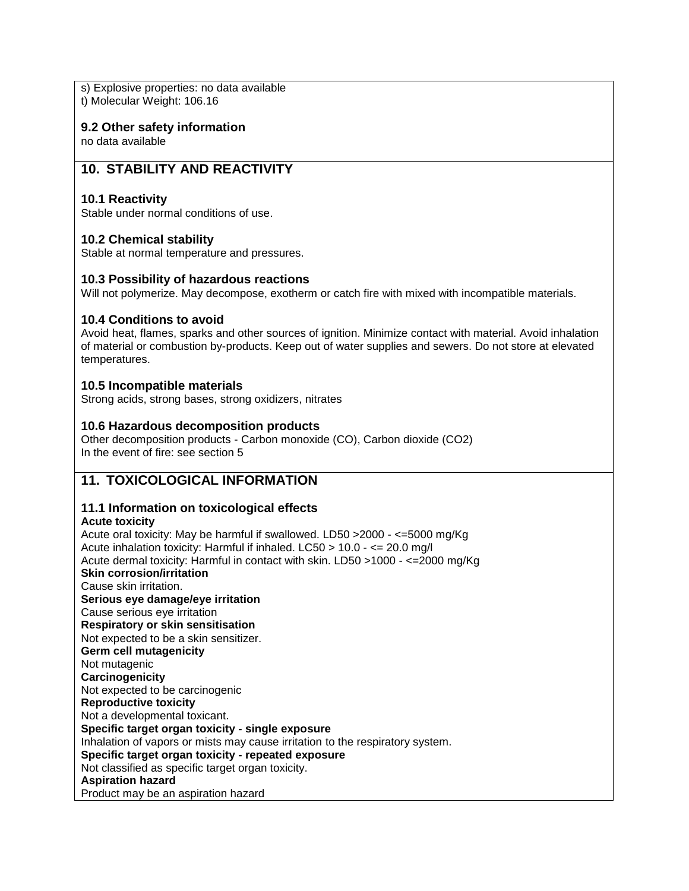s) Explosive properties: no data available t) Molecular Weight: 106.16

**9.2 Other safety information**

no data available

### **10. STABILITY AND REACTIVITY**

### **10.1 Reactivity**

Stable under normal conditions of use.

### **10.2 Chemical stability**

Stable at normal temperature and pressures.

### **10.3 Possibility of hazardous reactions**

Will not polymerize. May decompose, exotherm or catch fire with mixed with incompatible materials.

### **10.4 Conditions to avoid**

Avoid heat, flames, sparks and other sources of ignition. Minimize contact with material. Avoid inhalation of material or combustion by-products. Keep out of water supplies and sewers. Do not store at elevated temperatures.

### **10.5 Incompatible materials**

Strong acids, strong bases, strong oxidizers, nitrates

### **10.6 Hazardous decomposition products**

Other decomposition products - Carbon monoxide (CO), Carbon dioxide (CO2) In the event of fire: see section 5

### **11. TOXICOLOGICAL INFORMATION**

### **11.1 Information on toxicological effects**

### **Acute toxicity**

Acute oral toxicity: May be harmful if swallowed. LD50 >2000 - <=5000 mg/Kg Acute inhalation toxicity: Harmful if inhaled. LC50 > 10.0 - <= 20.0 mg/l Acute dermal toxicity: Harmful in contact with skin. LD50 >1000 - <=2000 mg/Kg **Skin corrosion/irritation** Cause skin irritation. **Serious eye damage/eye irritation** Cause serious eye irritation **Respiratory or skin sensitisation** Not expected to be a skin sensitizer. **Germ cell mutagenicity** Not mutagenic **Carcinogenicity** Not expected to be carcinogenic **Reproductive toxicity** Not a developmental toxicant. **Specific target organ toxicity - single exposure** Inhalation of vapors or mists may cause irritation to the respiratory system. **Specific target organ toxicity - repeated exposure** Not classified as specific target organ toxicity. **Aspiration hazard** Product may be an aspiration hazard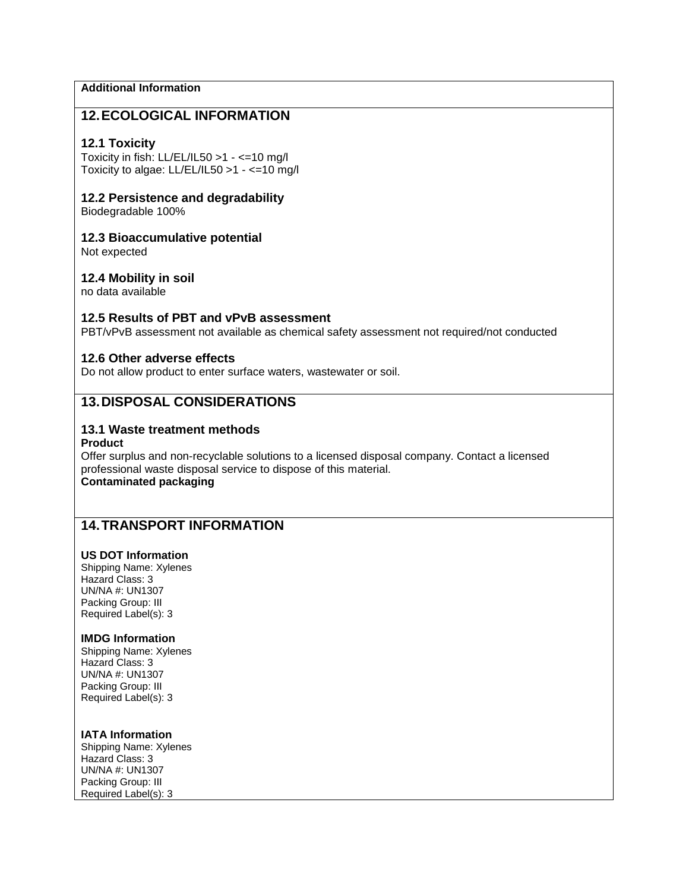### **Additional Information**

### **12.ECOLOGICAL INFORMATION**

### **12.1 Toxicity**

Toxicity in fish: LL/EL/IL50 >1 - <=10 mg/l Toxicity to algae: LL/EL/IL50 >1 - <=10 mg/l

### **12.2 Persistence and degradability**

Biodegradable 100%

### **12.3 Bioaccumulative potential**

Not expected

### **12.4 Mobility in soil**

no data available

### **12.5 Results of PBT and vPvB assessment**

PBT/vPvB assessment not available as chemical safety assessment not required/not conducted

### **12.6 Other adverse effects**

Do not allow product to enter surface waters, wastewater or soil.

### **13.DISPOSAL CONSIDERATIONS**

### **13.1 Waste treatment methods**

#### **Product**

Offer surplus and non-recyclable solutions to a licensed disposal company. Contact a licensed professional waste disposal service to dispose of this material. **Contaminated packaging**

# **14.TRANSPORT INFORMATION**

### **US DOT Information**

Shipping Name: Xylenes Hazard Class: 3 UN/NA #: UN1307 Packing Group: III Required Label(s): 3

#### **IMDG Information**

Shipping Name: Xylenes Hazard Class: 3 UN/NA #: UN1307 Packing Group: III Required Label(s): 3

#### **IATA Information**

Shipping Name: Xylenes Hazard Class: 3 UN/NA #: UN1307 Packing Group: III Required Label(s): 3